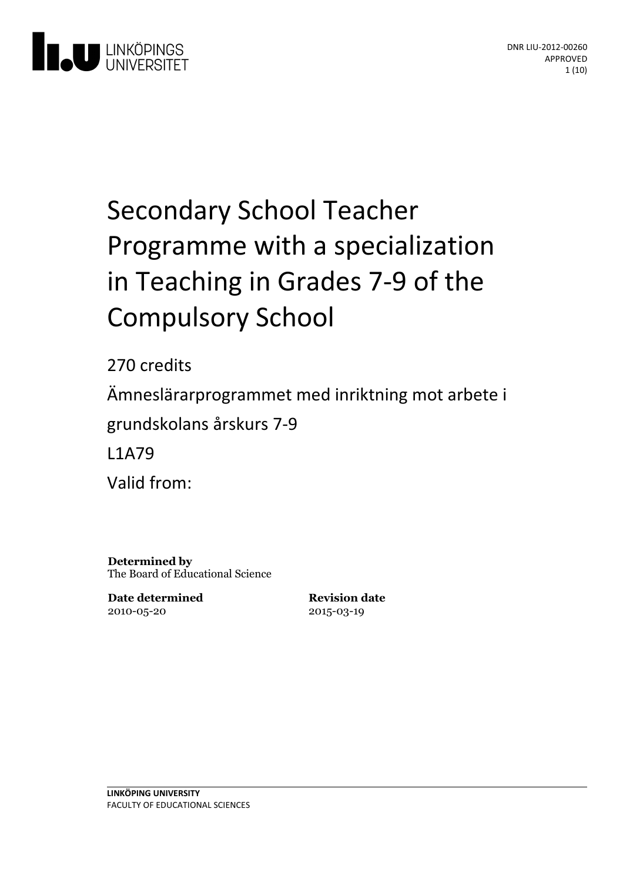

# Secondary School Teacher Programme with a specialization in Teaching in Grades 7-9 of the **Compulsory School**

270 credits Ämneslärarprogrammet med inriktning motarbete i grundskolansårskurs 7-9 L1A79 Valid from:

**Determined by** The Board of Educational Science

**Date determined** 2010-05-20

**Revision date** 2015-03-19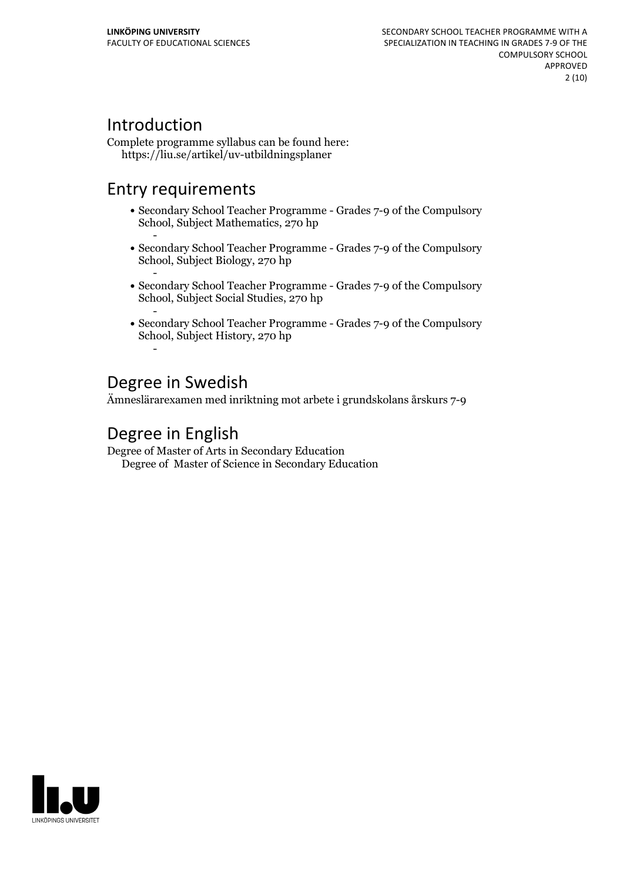# Introduction

Complete programme syllabus can be found here: https://liu.se/artikel/uv-utbildningsplaner

# Entry requirements

- Secondary School Teacher Programme Grades 7-9 of the Compulsory School, Subject Mathematics, 270 hp
- Secondary School Teacher Programme Grades 7-9 of the Compulsory School, Subject Biology, 270 hp
- Secondary School Teacher Programme Grades 7-9 of the Compulsory School, Subject Social Studies, 270 hp
- Secondary School Teacher Programme Grades 7-9 of the Compulsory School, Subject History, 270 hp -

# Degree in Swedish

Ämneslärarexamen med inriktning mot arbete i grundskolans årskurs 7-9

# Degree in English

Degree of Master of Arts in Secondary Education Degree of Master of Science in Secondary Education

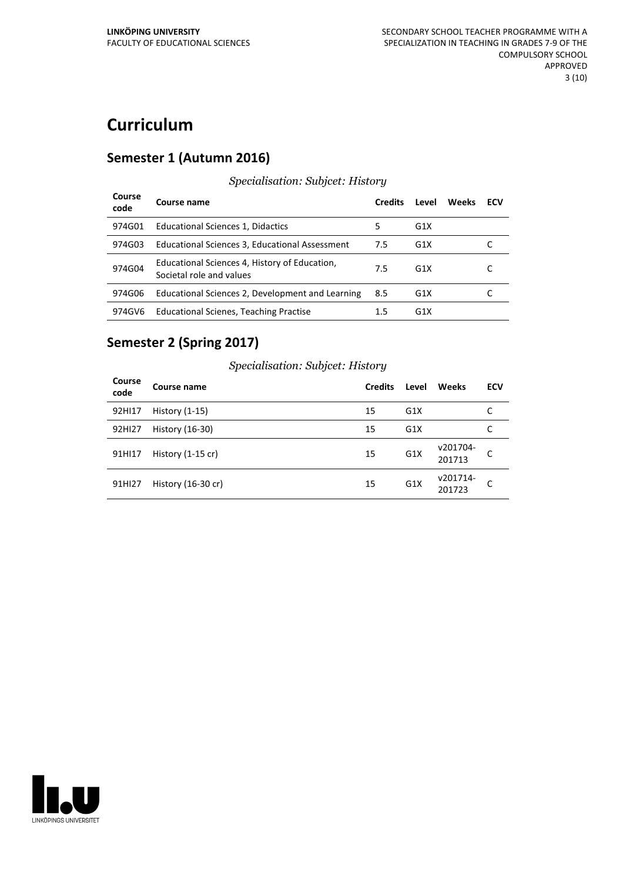# **Curriculum**

### **Semester 1 (Autumn 2016)**

#### **Course code Course name Credits Level Weeks ECV** 974G01 Educational Sciences 1, Didactics 5 G1X 974G03 Educational Sciences 3, Educational Assessment 7.5 G1X C 974G04 Equivalentle Services 4,<br>Societal role and values Educational Sciences 4, History of Education, 7.5 G1X C 974G06 Educational Sciences 2, Development and Learning 8.5 G1X C 974GV6 Educational Scienes, Teaching Practise 1.5 G1X

*Specialisation: Subjcet: History*

# **Semester 2 (Spring 2017)**

| Course<br>code     | Course name         | <b>Credits</b> | Level            | <b>Weeks</b>       | ECV |
|--------------------|---------------------|----------------|------------------|--------------------|-----|
| 92HI17             | History (1-15)      | 15             | G <sub>1</sub> X |                    |     |
| 92HI27             | History (16-30)     | 15             | G <sub>1</sub> X |                    |     |
| 91HI17             | History $(1-15$ cr) | 15             | G <sub>1</sub> X | v201704-<br>201713 | C   |
| 91H <sub>127</sub> | History (16-30 cr)  | 15             | G <sub>1</sub> X | v201714-<br>201723 | C   |

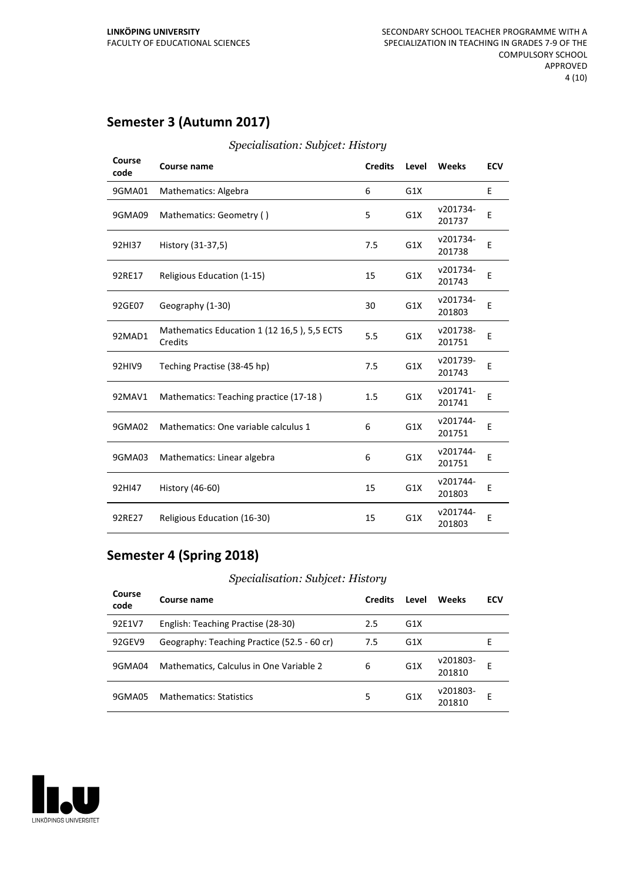# **Semester 3 (Autumn 2017)**

| Course<br>code | Course name                                            | <b>Credits</b> | Level | <b>Weeks</b>       | <b>ECV</b> |
|----------------|--------------------------------------------------------|----------------|-------|--------------------|------------|
| 9GMA01         | Mathematics: Algebra                                   | 6              | G1X   |                    | E          |
| 9GMA09         | Mathematics: Geometry ()                               | 5              | G1X   | v201734-<br>201737 | E          |
| 92HI37         | History (31-37,5)                                      | 7.5            | G1X   | v201734-<br>201738 | E          |
| 92RE17         | Religious Education (1-15)                             | 15             | G1X   | v201734-<br>201743 | E          |
| 92GE07         | Geography (1-30)                                       | 30             | G1X   | v201734-<br>201803 | E          |
| 92MAD1         | Mathematics Education 1 (12 16,5), 5,5 ECTS<br>Credits | 5.5            | G1X   | v201738-<br>201751 | E          |
| 92HIV9         | Teching Practise (38-45 hp)                            | 7.5            | G1X   | v201739-<br>201743 | E          |
| 92MAV1         | Mathematics: Teaching practice (17-18)                 | 1.5            | G1X   | v201741-<br>201741 | E          |
| 9GMA02         | Mathematics: One variable calculus 1                   | 6              | G1X   | v201744-<br>201751 | E          |
| 9GMA03         | Mathematics: Linear algebra                            | 6              | G1X   | v201744-<br>201751 | E          |
| 92HI47         | History (46-60)                                        | 15             | G1X   | v201744-<br>201803 | E          |
| 92RE27         | Religious Education (16-30)                            | 15             | G1X   | v201744-<br>201803 | E          |

#### *Specialisation: Subjcet: History*

### **Semester 4 (Spring 2018)**

| Course<br>code | Course name                                 | <b>Credits</b> | Level            | Weeks              | <b>ECV</b> |
|----------------|---------------------------------------------|----------------|------------------|--------------------|------------|
| 92E1V7         | English: Teaching Practise (28-30)          | 2.5            | G1X              |                    |            |
| 92GEV9         | Geography: Teaching Practice (52.5 - 60 cr) | 7.5            | G <sub>1</sub> X |                    | F          |
| 9GMA04         | Mathematics, Calculus in One Variable 2     | 6              | G <sub>1</sub> X | v201803-<br>201810 | Е          |
| 9GMA05         | <b>Mathematics: Statistics</b>              | 5              | G <sub>1</sub> X | v201803-<br>201810 | F          |

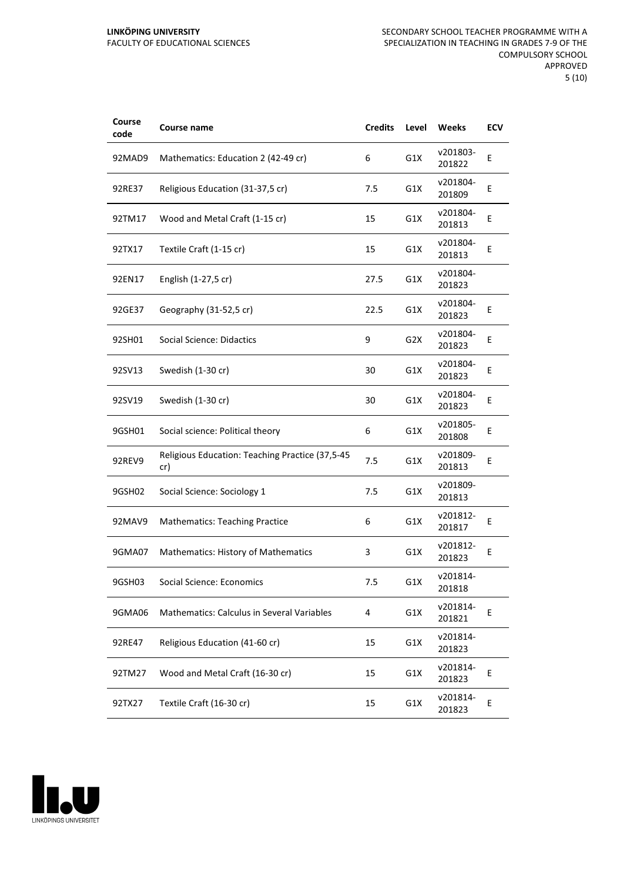#### **LINKÖPING UNIVERSITY** FACULTY OF EDUCATIONAL SCIENCES

| Course<br>code | Course name                                            | <b>Credits</b> | Level            | Weeks              | ECV |
|----------------|--------------------------------------------------------|----------------|------------------|--------------------|-----|
| 92MAD9         | Mathematics: Education 2 (42-49 cr)                    | 6              | G1X              | v201803-<br>201822 | E   |
| 92RE37         | Religious Education (31-37,5 cr)                       | 7.5            | G1X              | v201804-<br>201809 | Ε   |
| 92TM17         | Wood and Metal Craft (1-15 cr)                         | 15             | G1X              | v201804-<br>201813 | E   |
| 92TX17         | Textile Craft (1-15 cr)                                | 15             | G1X              | v201804-<br>201813 | E   |
| 92EN17         | English (1-27,5 cr)                                    | 27.5           | G1X              | v201804-<br>201823 |     |
| 92GE37         | Geography (31-52,5 cr)                                 | 22.5           | G1X              | v201804-<br>201823 | E   |
| 92SH01         | Social Science: Didactics                              | 9              | G <sub>2</sub> X | v201804-<br>201823 | Ε   |
| 92SV13         | Swedish (1-30 cr)                                      | 30             | G1X              | v201804-<br>201823 | Ε   |
| 92SV19         | Swedish (1-30 cr)                                      | 30             | G1X              | v201804-<br>201823 | E   |
| 9GSH01         | Social science: Political theory                       | 6              | G1X              | v201805-<br>201808 | E   |
| 92REV9         | Religious Education: Teaching Practice (37,5-45<br>cr) | 7.5            | G1X              | v201809-<br>201813 | E   |
| 9GSH02         | Social Science: Sociology 1                            | 7.5            | G1X              | v201809-<br>201813 |     |
| 92MAV9         | <b>Mathematics: Teaching Practice</b>                  | 6              | G1X              | v201812-<br>201817 | E   |
| 9GMA07         | <b>Mathematics: History of Mathematics</b>             | 3              | G1X              | v201812-<br>201823 | E   |
| 9GSH03         | Social Science: Economics                              | 7.5            | G1X              | v201814-<br>201818 |     |
| 9GMA06         | Mathematics: Calculus in Several Variables             | 4              | G1X              | v201814-<br>201821 | E   |
| 92RE47         | Religious Education (41-60 cr)                         | 15             | G1X              | v201814-<br>201823 |     |
| 92TM27         | Wood and Metal Craft (16-30 cr)                        | 15             | G1X              | v201814-<br>201823 | Ε   |
| 92TX27         | Textile Craft (16-30 cr)                               | 15             | G1X              | v201814-<br>201823 | Ε   |

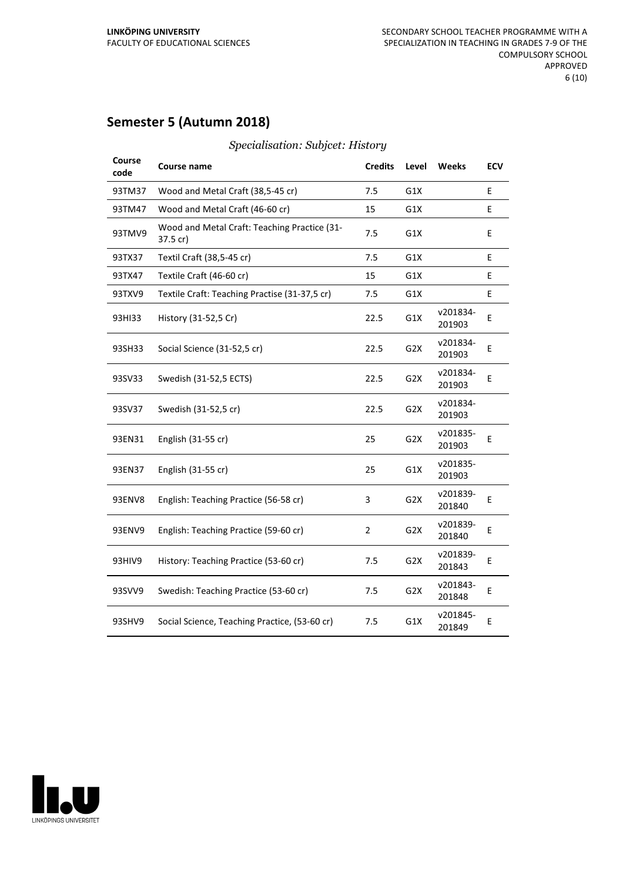# **Semester 5 (Autumn 2018)**

| Course<br>code | Course name                                              | <b>Credits</b> | Level            | Weeks              | <b>ECV</b> |
|----------------|----------------------------------------------------------|----------------|------------------|--------------------|------------|
| 93TM37         | Wood and Metal Craft (38,5-45 cr)                        | 7.5            | G1X              |                    | E          |
| 93TM47         | Wood and Metal Craft (46-60 cr)                          | 15             | G1X              |                    | E          |
| 93TMV9         | Wood and Metal Craft: Teaching Practice (31-<br>37.5 cr) | 7.5            | G1X              |                    | Е          |
| 93TX37         | Textil Craft (38,5-45 cr)                                | 7.5            | G1X              |                    | E          |
| 93TX47         | Textile Craft (46-60 cr)                                 | 15             | G1X              |                    | E          |
| 93TXV9         | Textile Craft: Teaching Practise (31-37,5 cr)            | 7.5            | G1X              |                    | E          |
| 93HI33         | History (31-52,5 Cr)                                     | 22.5           | G1X              | v201834-<br>201903 | Е          |
| 93SH33         | Social Science (31-52,5 cr)                              | 22.5           | G <sub>2</sub> X | v201834-<br>201903 | Ε          |
| 93SV33         | Swedish (31-52,5 ECTS)                                   | 22.5           | G <sub>2</sub> X | v201834-<br>201903 | E          |
| 93SV37         | Swedish (31-52,5 cr)                                     | 22.5           | G <sub>2</sub> X | v201834-<br>201903 |            |
| 93EN31         | English (31-55 cr)                                       | 25             | G <sub>2</sub> X | v201835-<br>201903 | E          |
| 93EN37         | English (31-55 cr)                                       | 25             | G1X              | v201835-<br>201903 |            |
| 93ENV8         | English: Teaching Practice (56-58 cr)                    | 3              | G <sub>2</sub> X | v201839-<br>201840 | E          |
| 93ENV9         | English: Teaching Practice (59-60 cr)                    | $\overline{2}$ | G <sub>2</sub> X | v201839-<br>201840 | E          |
| 93HIV9         | History: Teaching Practice (53-60 cr)                    | 7.5            | G <sub>2</sub> X | v201839-<br>201843 | E          |
| 93SVV9         | Swedish: Teaching Practice (53-60 cr)                    | 7.5            | G <sub>2</sub> X | v201843-<br>201848 | E          |
| 93SHV9         | Social Science, Teaching Practice, (53-60 cr)            | 7.5            | G1X              | v201845-<br>201849 | E          |

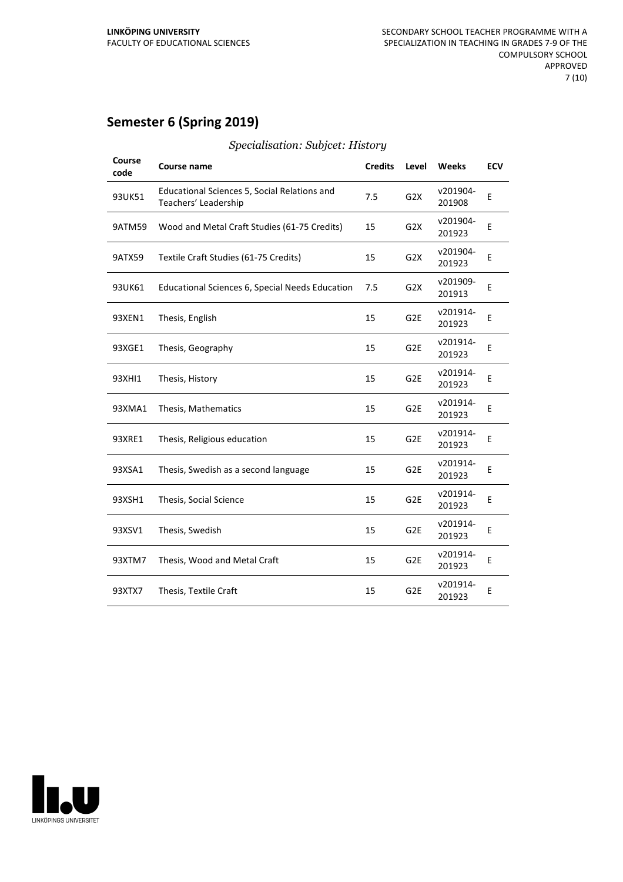# **Semester 6 (Spring 2019)**

| Course<br>code | Course name                                                          | <b>Credits</b> | Level            | <b>Weeks</b>       | <b>ECV</b> |
|----------------|----------------------------------------------------------------------|----------------|------------------|--------------------|------------|
| 93UK51         | Educational Sciences 5, Social Relations and<br>Teachers' Leadership | 7.5            | G <sub>2</sub> X | v201904-<br>201908 | E          |
| 9ATM59         | Wood and Metal Craft Studies (61-75 Credits)                         | 15             | G <sub>2</sub> X | v201904-<br>201923 | E          |
| <b>9ATX59</b>  | Textile Craft Studies (61-75 Credits)                                | 15             | G <sub>2</sub> X | v201904-<br>201923 | E          |
| 93UK61         | Educational Sciences 6, Special Needs Education                      | 7.5            | G <sub>2</sub> X | v201909-<br>201913 | E          |
| 93XEN1         | Thesis, English                                                      | 15             | G <sub>2E</sub>  | v201914-<br>201923 | E          |
| 93XGE1         | Thesis, Geography                                                    | 15             | G <sub>2E</sub>  | v201914-<br>201923 | E          |
| 93XHI1         | Thesis, History                                                      | 15             | G <sub>2E</sub>  | v201914-<br>201923 | E          |
| 93XMA1         | Thesis, Mathematics                                                  | 15             | G <sub>2E</sub>  | v201914-<br>201923 | E          |
| 93XRE1         | Thesis, Religious education                                          | 15             | G <sub>2E</sub>  | v201914-<br>201923 | E          |
| 93XSA1         | Thesis, Swedish as a second language                                 | 15             | G <sub>2E</sub>  | v201914-<br>201923 | E          |
| 93XSH1         | Thesis, Social Science                                               | 15             | G <sub>2E</sub>  | v201914-<br>201923 | E          |
| 93XSV1         | Thesis, Swedish                                                      | 15             | G <sub>2E</sub>  | v201914-<br>201923 | E          |
| 93XTM7         | Thesis, Wood and Metal Craft                                         | 15             | G <sub>2E</sub>  | v201914-<br>201923 | E          |
| 93XTX7         | Thesis, Textile Craft                                                | 15             | G <sub>2E</sub>  | v201914-<br>201923 | E          |
|                |                                                                      |                |                  |                    |            |

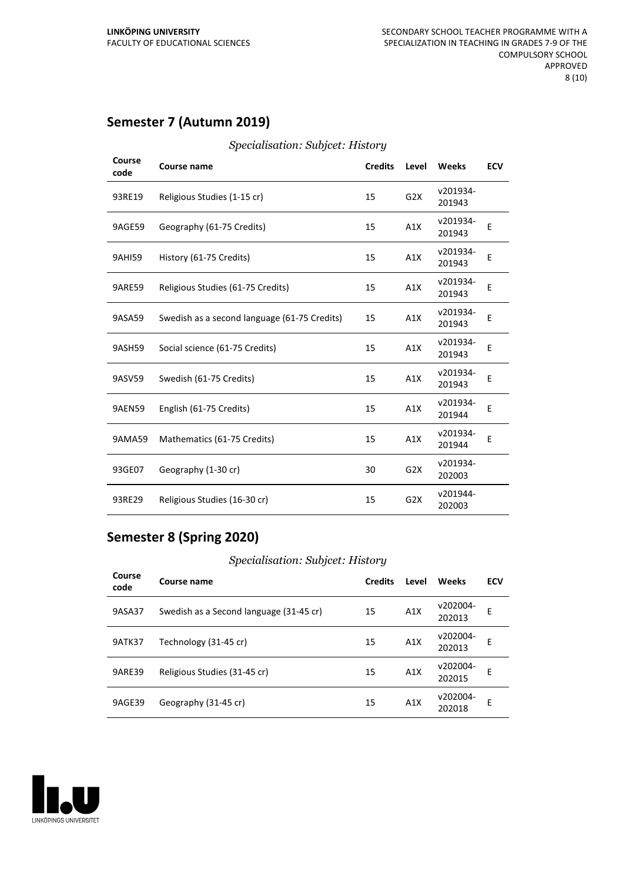# **Semester 7 (Autumn 2019)**

| Course<br>code | Course name                                  | <b>Credits</b> | Level            | <b>Weeks</b>       | <b>ECV</b> |
|----------------|----------------------------------------------|----------------|------------------|--------------------|------------|
| 93RE19         | Religious Studies (1-15 cr)                  | 15             | G <sub>2</sub> X | v201934-<br>201943 |            |
| 9AGE59         | Geography (61-75 Credits)                    | 15             | A1X              | v201934-<br>201943 | Ε          |
| <b>9AHI59</b>  | History (61-75 Credits)                      | 15             | A1X              | v201934-<br>201943 | E          |
| <b>9ARE59</b>  | Religious Studies (61-75 Credits)            | 15             | A1X              | v201934-<br>201943 | E          |
| 9ASA59         | Swedish as a second language (61-75 Credits) | 15             | A1X              | v201934-<br>201943 | Е          |
| 9ASH59         | Social science (61-75 Credits)               | 15             | A1X              | v201934-<br>201943 | Ε          |
| 9ASV59         | Swedish (61-75 Credits)                      | 15             | A1X              | v201934-<br>201943 | E          |
| <b>9AEN59</b>  | English (61-75 Credits)                      | 15             | A1X              | v201934-<br>201944 | E          |
| 9AMA59         | Mathematics (61-75 Credits)                  | 15             | A1X              | v201934-<br>201944 | E          |
| 93GE07         | Geography (1-30 cr)                          | 30             | G <sub>2</sub> X | v201934-<br>202003 |            |
| 93RE29         | Religious Studies (16-30 cr)                 | 15             | G <sub>2</sub> X | v201944-<br>202003 |            |

#### *Specialisation: Subjcet: History*

# **Semester 8 (Spring 2020)**

| Course<br>code | Course name                             | <b>Credits</b> | Level | Weeks              | <b>ECV</b> |
|----------------|-----------------------------------------|----------------|-------|--------------------|------------|
| 9ASA37         | Swedish as a Second language (31-45 cr) | 15             | A1X   | v202004-<br>202013 | E          |
| <b>9ATK37</b>  | Technology (31-45 cr)                   | 15             | A1X   | v202004-<br>202013 | E          |
| <b>9ARE39</b>  | Religious Studies (31-45 cr)            | 15             | A1X   | v202004-<br>202015 | E          |
| 9AGE39         | Geography (31-45 cr)                    | 15             | A1X   | v202004-<br>202018 | E          |

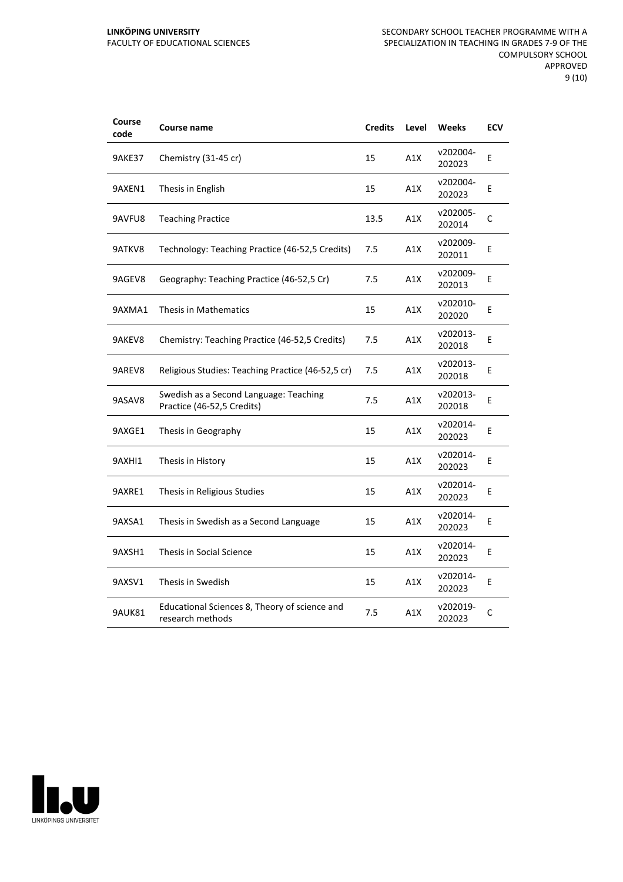| Course<br>code | Course name                                                          | <b>Credits</b> | Level | <b>Weeks</b>       | <b>ECV</b> |
|----------------|----------------------------------------------------------------------|----------------|-------|--------------------|------------|
| <b>9AKE37</b>  | Chemistry (31-45 cr)                                                 | 15             | A1X   | v202004-<br>202023 | E          |
| 9AXEN1         | Thesis in English                                                    | 15             | A1X   | v202004-<br>202023 | E          |
| 9AVFU8         | <b>Teaching Practice</b>                                             | 13.5           | A1X   | v202005-<br>202014 | C          |
| 9ATKV8         | Technology: Teaching Practice (46-52,5 Credits)                      | 7.5            | A1X   | v202009-<br>202011 | E          |
| 9AGEV8         | Geography: Teaching Practice (46-52,5 Cr)                            | 7.5            | A1X   | v202009-<br>202013 | E          |
| 9AXMA1         | Thesis in Mathematics                                                | 15             | A1X   | v202010-<br>202020 | E          |
| 9AKEV8         | Chemistry: Teaching Practice (46-52,5 Credits)                       | 7.5            | A1X   | v202013-<br>202018 | E          |
| 9AREV8         | Religious Studies: Teaching Practice (46-52,5 cr)                    | 7.5            | A1X   | v202013-<br>202018 | E          |
| 9ASAV8         | Swedish as a Second Language: Teaching<br>Practice (46-52,5 Credits) | 7.5            | A1X   | v202013-<br>202018 | E          |
| 9AXGE1         | Thesis in Geography                                                  | 15             | A1X   | v202014-<br>202023 | E          |
| 9AXHI1         | Thesis in History                                                    | 15             | A1X   | v202014-<br>202023 | E          |
| 9AXRE1         | Thesis in Religious Studies                                          | 15             | A1X   | v202014-<br>202023 | E          |
| 9AXSA1         | Thesis in Swedish as a Second Language                               | 15             | A1X   | v202014-<br>202023 | E          |
| 9AXSH1         | Thesis in Social Science                                             | 15             | A1X   | v202014-<br>202023 | Е          |
| 9AXSV1         | Thesis in Swedish                                                    | 15             | A1X   | v202014-<br>202023 | Е          |
| 9AUK81         | Educational Sciences 8, Theory of science and<br>research methods    | 7.5            | A1X   | v202019-<br>202023 | C          |